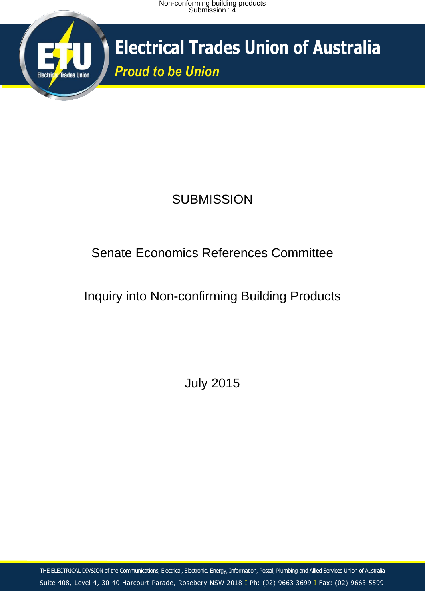

**Electrical Trades Union of Australia** *Proud to be Union*

## **SUBMISSION**

## Senate Economics References Committee

## Inquiry into Non-confirming Building Products

July 2015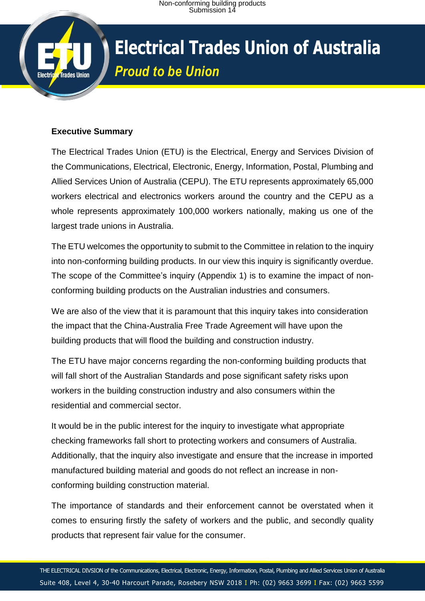# **Electrical Trades Union of Australia** *Proud to be Union*

#### **Executive Summary**

**Trades Union** 

The Electrical Trades Union (ETU) is the Electrical, Energy and Services Division of the Communications, Electrical, Electronic, Energy, Information, Postal, Plumbing and Allied Services Union of Australia (CEPU). The ETU represents approximately 65,000 workers electrical and electronics workers around the country and the CEPU as a whole represents approximately 100,000 workers nationally, making us one of the largest trade unions in Australia.

The ETU welcomes the opportunity to submit to the Committee in relation to the inquiry into non-conforming building products. In our view this inquiry is significantly overdue. The scope of the Committee's inquiry (Appendix 1) is to examine the impact of nonconforming building products on the Australian industries and consumers.

We are also of the view that it is paramount that this inquiry takes into consideration the impact that the China-Australia Free Trade Agreement will have upon the building products that will flood the building and construction industry.

The ETU have major concerns regarding the non-conforming building products that will fall short of the Australian Standards and pose significant safety risks upon workers in the building construction industry and also consumers within the residential and commercial sector.

It would be in the public interest for the inquiry to investigate what appropriate checking frameworks fall short to protecting workers and consumers of Australia. Additionally, that the inquiry also investigate and ensure that the increase in imported manufactured building material and goods do not reflect an increase in nonconforming building construction material.

The importance of standards and their enforcement cannot be overstated when it comes to ensuring firstly the safety of workers and the public, and secondly quality products that represent fair value for the consumer.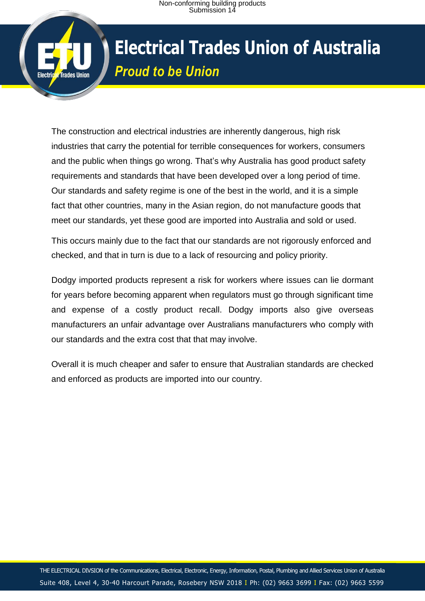

The construction and electrical industries are inherently dangerous, high risk industries that carry the potential for terrible consequences for workers, consumers and the public when things go wrong. That's why Australia has good product safety requirements and standards that have been developed over a long period of time. Our standards and safety regime is one of the best in the world, and it is a simple fact that other countries, many in the Asian region, do not manufacture goods that meet our standards, yet these good are imported into Australia and sold or used.

This occurs mainly due to the fact that our standards are not rigorously enforced and checked, and that in turn is due to a lack of resourcing and policy priority.

Dodgy imported products represent a risk for workers where issues can lie dormant for years before becoming apparent when regulators must go through significant time and expense of a costly product recall. Dodgy imports also give overseas manufacturers an unfair advantage over Australians manufacturers who comply with our standards and the extra cost that that may involve.

Overall it is much cheaper and safer to ensure that Australian standards are checked and enforced as products are imported into our country.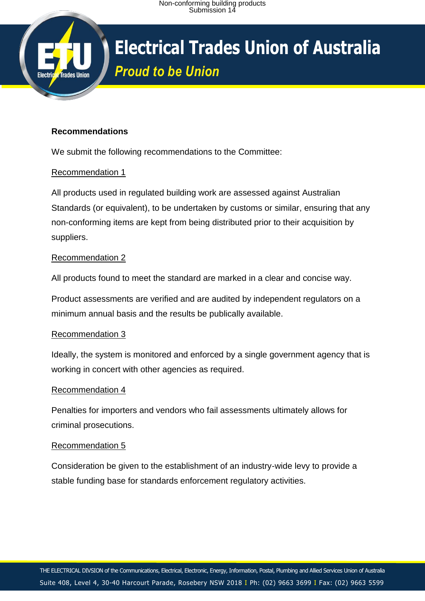## **Electrical Trades Union of Australia** *Proud to be Union*

#### **Recommendations**

**Trades Union** 

We submit the following recommendations to the Committee:

#### Recommendation 1

All products used in regulated building work are assessed against Australian Standards (or equivalent), to be undertaken by customs or similar, ensuring that any non-conforming items are kept from being distributed prior to their acquisition by suppliers.

#### Recommendation 2

All products found to meet the standard are marked in a clear and concise way.

Product assessments are verified and are audited by independent regulators on a minimum annual basis and the results be publically available.

#### Recommendation 3

Ideally, the system is monitored and enforced by a single government agency that is working in concert with other agencies as required.

#### Recommendation 4

Penalties for importers and vendors who fail assessments ultimately allows for criminal prosecutions.

#### Recommendation 5

Consideration be given to the establishment of an industry-wide levy to provide a stable funding base for standards enforcement regulatory activities.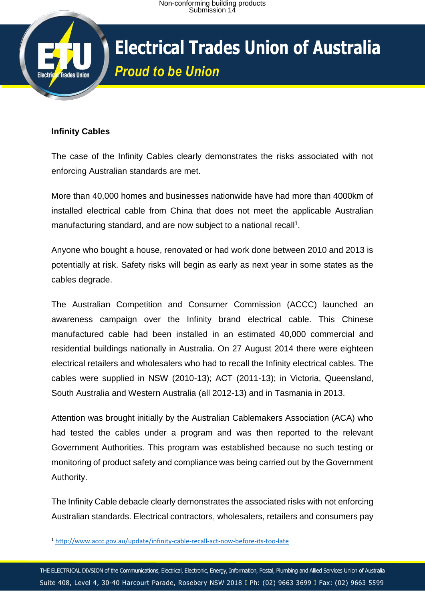# **Trades Union**

## **Electrical Trades Union of Australia** *Proud to be Union*

## **Infinity Cables**

The case of the Infinity Cables clearly demonstrates the risks associated with not enforcing Australian standards are met.

More than 40,000 homes and businesses nationwide have had more than 4000km of installed electrical cable from China that does not meet the applicable Australian manufacturing standard, and are now subject to a national recall<sup>1</sup>.

Anyone who bought a house, renovated or had work done between 2010 and 2013 is potentially at risk. Safety risks will begin as early as next year in some states as the cables degrade.

The Australian Competition and Consumer Commission (ACCC) launched an awareness campaign over the Infinity brand electrical cable. This Chinese manufactured cable had been installed in an estimated 40,000 commercial and residential buildings nationally in Australia. On 27 August 2014 there were eighteen electrical retailers and wholesalers who had to recall the Infinity electrical cables. The cables were supplied in NSW (2010-13); ACT (2011-13); in Victoria, Queensland, South Australia and Western Australia (all 2012-13) and in Tasmania in 2013.

Attention was brought initially by the Australian Cablemakers Association (ACA) who had tested the cables under a program and was then reported to the relevant Government Authorities. This program was established because no such testing or monitoring of product safety and compliance was being carried out by the Government Authority.

The Infinity Cable debacle clearly demonstrates the associated risks with not enforcing Australian standards. Electrical contractors, wholesalers, retailers and consumers pay

<sup>1</sup> <sup>1</sup> <http://www.accc.gov.au/update/infinity-cable-recall-act-now-before-its-too-late>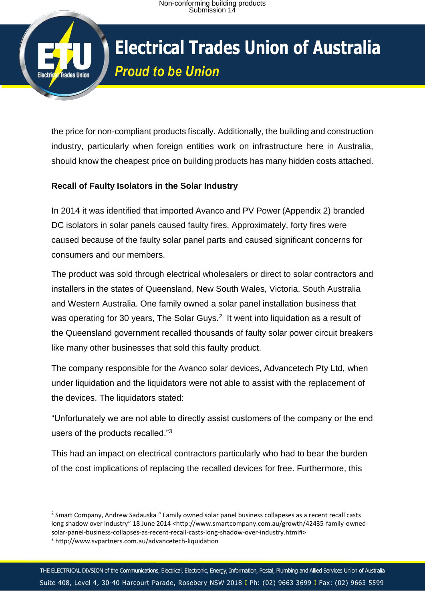# **Electrical Trades Union of Australia** *Proud to be Union*

the price for non-compliant products fiscally. Additionally, the building and construction industry, particularly when foreign entities work on infrastructure here in Australia, should know the cheapest price on building products has many hidden costs attached.

## **Recall of Faulty Isolators in the Solar Industry**

**Trades Union** 

In 2014 it was identified that imported Avanco and PV Power (Appendix 2) branded DC isolators in solar panels caused faulty fires. Approximately, forty fires were caused because of the faulty solar panel parts and caused significant concerns for consumers and our members.

The product was sold through electrical wholesalers or direct to solar contractors and installers in the states of Queensland, New South Wales, Victoria, South Australia and Western Australia. One family owned a solar panel installation business that was operating for 30 years, The Solar Guys. $2$  It went into liquidation as a result of the Queensland government recalled thousands of faulty solar power circuit breakers like many other businesses that sold this faulty product.

The company responsible for the Avanco solar devices, Advancetech Pty Ltd, when under liquidation and the liquidators were not able to assist with the replacement of the devices. The liquidators stated:

"Unfortunately we are not able to directly assist customers of the company or the end users of the products recalled."<sup>3</sup>

This had an impact on electrical contractors particularly who had to bear the burden of the cost implications of replacing the recalled devices for free. Furthermore, this

**.** 

<sup>&</sup>lt;sup>2</sup> Smart Company, Andrew Sadauska " Family owned solar panel business collapeses as a recent recall casts long shadow over industry" 18 June 2014 <http://www.smartcompany.com.au/growth/42435-family-ownedsolar-panel-business-collapses-as-recent-recall-casts-long-shadow-over-industry.html#>

<sup>3</sup> http://www.svpartners.com.au/advancetech-liquidation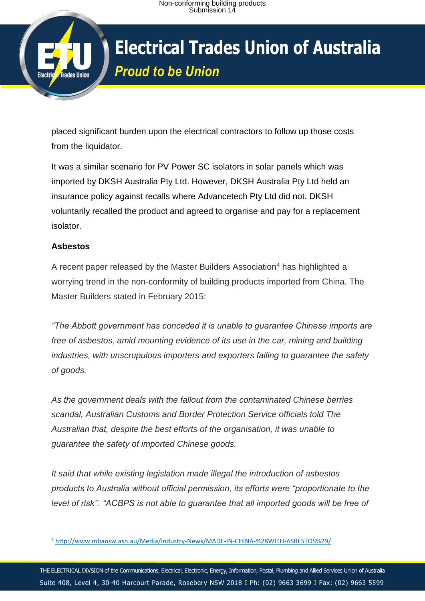## **Electrical Trades Union of Australia** *Proud to be Union*

placed significant burden upon the electrical contractors to follow up those costs from the liquidator.

It was a similar scenario for PV Power SC isolators in solar panels which was imported by DKSH Australia Pty Ltd. However, DKSH Australia Pty Ltd held an insurance policy against recalls where Advancetech Pty Ltd did not. DKSH voluntarily recalled the product and agreed to organise and pay for a replacement isolator.

## **Asbestos**

**Trades Union** 

A recent paper released by the Master Builders Association<sup>4</sup> has highlighted a worrying trend in the non-conformity of building products imported from China. The Master Builders stated in February 2015:

*"The Abbott government has conceded it is unable to guarantee Chinese imports are free of asbestos, amid mounting evidence of its use in the car, mining and building industries, with unscrupulous importers and exporters failing to guarantee the safety of goods.*

*As the government deals with the fallout from the contaminated Chinese berries scandal, Australian Customs and Border Protection Service officials told The Australian that, despite the best efforts of the organisation, it was unable to guarantee the safety of imported Chinese goods.*

*It said that while existing legislation made illegal the introduction of asbestos products to Australia without official permission, its efforts were "proportionate to the level of risk''. "ACBPS is not able to guarantee that all imported goods will be free of* 

<sup>1</sup> <sup>4</sup> <http://www.mbansw.asn.au/Media/Industry-News/MADE-IN-CHINA-%28WITH-ASBESTOS%29/>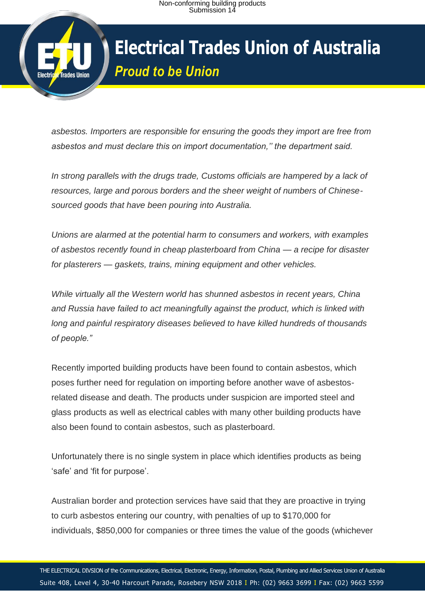

*asbestos. Importers are responsible for ensuring the goods they import are free from asbestos and must declare this on import documentation,'' the department said.*

*In strong parallels with the drugs trade, Customs officials are hampered by a lack of resources, large and porous borders and the sheer weight of numbers of Chinesesourced goods that have been pouring into Australia.*

*Unions are alarmed at the potential harm to consumers and workers, with examples of asbestos recently found in cheap plasterboard from China — a recipe for disaster for plasterers — gaskets, trains, mining equipment and other vehicles.*

*While virtually all the Western world has shunned asbestos in recent years, China and Russia have failed to act meaningfully against the product, which is linked with long and painful respiratory diseases believed to have killed hundreds of thousands of people."*

Recently imported building products have been found to contain asbestos, which poses further need for regulation on importing before another wave of asbestosrelated disease and death. The products under suspicion are imported steel and glass products as well as electrical cables with many other building products have also been found to contain asbestos, such as plasterboard.

Unfortunately there is no single system in place which identifies products as being 'safe' and 'fit for purpose'.

Australian border and protection services have said that they are proactive in trying to curb asbestos entering our country, with penalties of up to \$170,000 for individuals, \$850,000 for companies or three times the value of the goods (whichever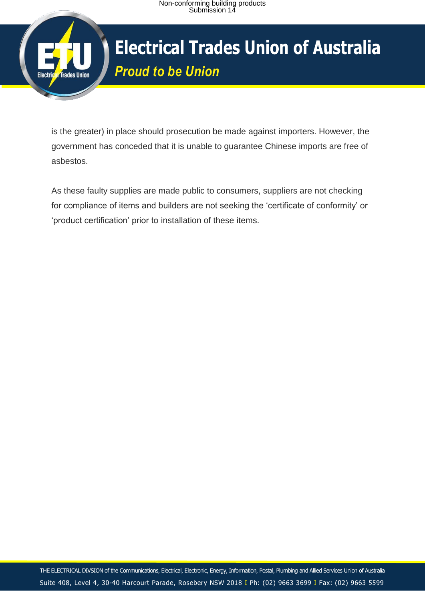

# **Electrical Trades Union of Australia** *Proud to be Union*

is the greater) in place should prosecution be made against importers. However, the government has conceded that it is unable to guarantee Chinese imports are free of asbestos.

As these faulty supplies are made public to consumers, suppliers are not checking for compliance of items and builders are not seeking the 'certificate of conformity' or 'product certification' prior to installation of these items.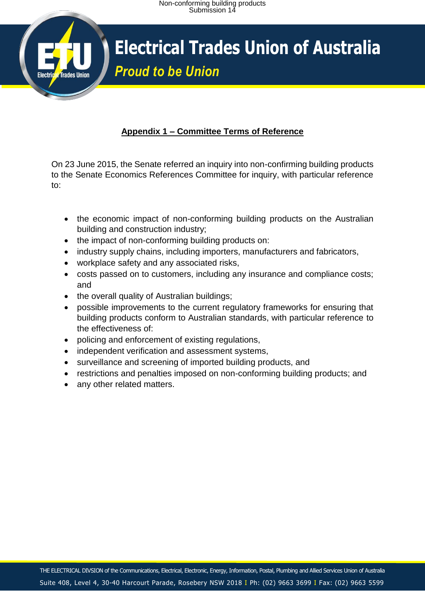## **Electrical Trades Union of Australia** *Proud to be Union*

## **Appendix 1 – Committee Terms of Reference**

On 23 June 2015, the Senate referred an inquiry into non-confirming building products to the Senate Economics References Committee for inquiry, with particular reference to:

- the economic impact of non-conforming building products on the Australian building and construction industry;
- the impact of non-conforming building products on:
- industry supply chains, including importers, manufacturers and fabricators,
- workplace safety and any associated risks,
- costs passed on to customers, including any insurance and compliance costs; and
- the overall quality of Australian buildings;
- possible improvements to the current regulatory frameworks for ensuring that building products conform to Australian standards, with particular reference to the effectiveness of:
- policing and enforcement of existing regulations,
- independent verification and assessment systems,
- surveillance and screening of imported building products, and
- restrictions and penalties imposed on non-conforming building products; and
- any other related matters.

**Trades Union**